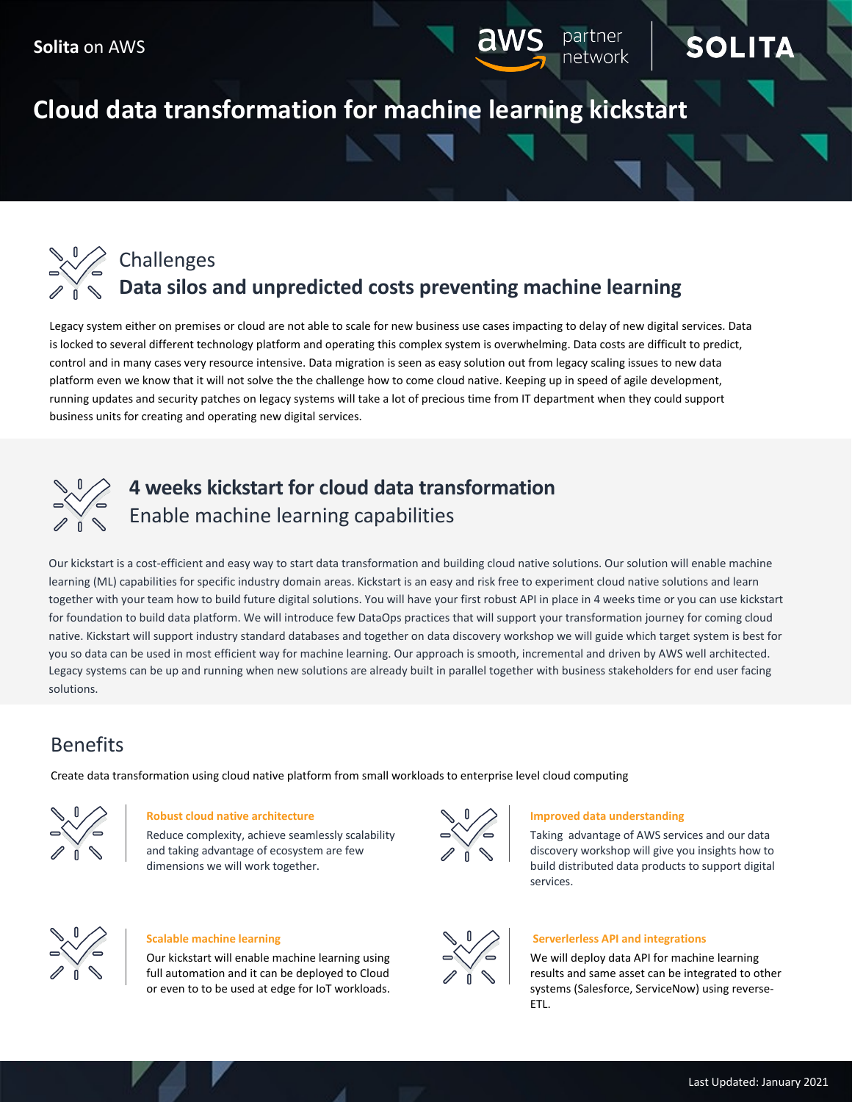# **Cloud data transformation for machine learning kickstart**



Legacy system either on premises or cloud are not able to scale for new business use cases impacting to delay of new digital services. Data is locked to several different technology platform and operating this complex system is overwhelming. Data costs are difficult to predict, control and in many cases very resource intensive. Data migration is seen as easy solution out from legacy scaling issues to new data platform even we know that it will not solve the the challenge how to come cloud native. Keeping up in speed of agile development, running updates and security patches on legacy systems will take a lot of precious time from IT department when they could support business units for creating and operating new digital services.



# **4 weeks kickstart for cloud data transformation** Enable machine learning capabilities

Our kickstart is a cost-efficient and easy way to start data transformation and building cloud native solutions. Our solution will enable machine learning (ML) capabilities for specific industry domain areas. Kickstart is an easy and risk free to experiment cloud native solutions and learn together with your team how to build future digital solutions. You will have your first robust API in place in 4 weeks time or you can use kickstart for foundation to build data platform. We will introduce few DataOps practices that will support your transformation journey for coming cloud native. Kickstart will support industry standard databases and together on data discovery workshop we will guide which target system is best for you so data can be used in most efficient way for machine learning. Our approach is smooth, incremental and driven by AWS well architected. Legacy systems can be up and running when new solutions are already built in parallel together with business stakeholders for end user facing solutions.

## Benefits

Create data transformation using cloud native platform from small workloads to enterprise level cloud computing



### **Robust cloud native architecture**

Reduce complexity, achieve seamlessly scalability and taking advantage of ecosystem are few dimensions we will work together.



### **Improved data understanding**

Taking advantage of AWS services and our data discovery workshop will give you insights how to build distributed data products to support digital services.

SOL

าetwork



### **Scalable machine learning**

Our kickstart will enable machine learning using full automation and it can be deployed to Cloud or even to to be used at edge for IoT workloads.



### **Serverlerless API and integrations**

We will deploy data API for machine learning results and same asset can be integrated to other systems (Salesforce, ServiceNow) using reverse-ETL.